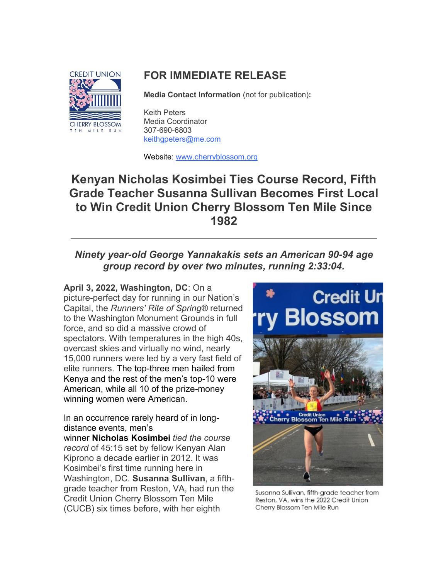

# **FOR IMMEDIATE RELEASE**

**Media Contact Information** (not for publication)**:**

Keith Peters Media Coordinator 307-690-6803 [keithgpeters@me.com](mailto:keithgpeters@me.com)

Website: [www.cherryblossom.org](http://www.cherryblossom.org/)

# **Kenyan Nicholas Kosimbei Ties Course Record, Fifth Grade Teacher Susanna Sullivan Becomes First Local to Win Credit Union Cherry Blossom Ten Mile Since 1982**

## *Ninety year-old George Yannakakis sets an American 90-94 age group record by over two minutes, running 2:33:04.*

**April 3, 2022, Washington, DC**: On a picture-perfect day for running in our Nation's Capital, the *Runners' Rite of Spring®* returned to the Washington Monument Grounds in full force, and so did a massive crowd of spectators. With temperatures in the high 40s, overcast skies and virtually no wind, nearly 15,000 runners were led by a very fast field of elite runners. [The top-three men hailed from](https://campaignlp.constantcontact.com/em/1102410292603/2abf5cfd-eca3-4935-bffb-48e5b992e53e)  [Kenya and the rest of th](https://campaignlp.constantcontact.com/em/1102410292603/2abf5cfd-eca3-4935-bffb-48e5b992e53e)e men's top-10 were [American, while all 10 of the prize-money](https://campaignlp.constantcontact.com/em/1102410292603/2abf5cfd-eca3-4935-bffb-48e5b992e53e)  [winning women were American.](https://campaignlp.constantcontact.com/em/1102410292603/2abf5cfd-eca3-4935-bffb-48e5b992e53e)

[In an occurrence rarely heard of in long](https://campaignlp.constantcontact.com/em/1102410292603/2abf5cfd-eca3-4935-bffb-48e5b992e53e)d[istance events, men's](https://campaignlp.constantcontact.com/em/1102410292603/2abf5cfd-eca3-4935-bffb-48e5b992e53e)  [winner](https://campaignlp.constantcontact.com/em/1102410292603/2abf5cfd-eca3-4935-bffb-48e5b992e53e) **[Nicholas](https://campaignlp.constantcontact.com/em/1102410292603/2abf5cfd-eca3-4935-bffb-48e5b992e53e) [Kosimbei](https://campaignlp.constantcontact.com/em/1102410292603/2abf5cfd-eca3-4935-bffb-48e5b992e53e)** *tied the course record* of 45:15 set by fellow Kenyan Alan Kiprono a decade earlier in 2012. It was Kosimbei's first time running here in Washington, DC. **Susanna Sullivan**, a fifthgrade teacher from Reston, VA, had run the Credit Union Cherry Blossom Ten Mile (CUCB) six times before, with her eighth



Susanna Sullivan, fifth-grade teacher from Reston, VA, wins the 2022 Credit Union Cherry Blossom Ten Mile Run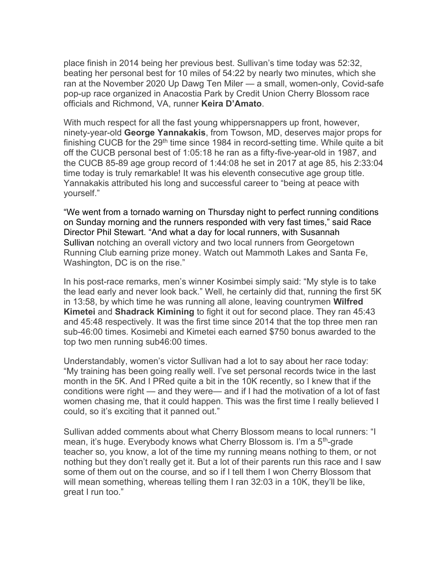place finish in 2014 being her previous best. Sullivan's time today was 52:32, beating her personal best for 10 miles of 54:22 by nearly two minutes, which she ran at the November 2020 Up Dawg Ten Miler — a small, women-only, Covid-safe pop-up race organized in Anacostia Park by Credit Union Cherry Blossom race officials and Richmond, VA, runner **Keira D'Amato**.

With much respect for all the fast young whippersnappers up front, however, ninety-year-old **George Yannakakis**, from Towson, MD, deserves major props for finishing CUCB for the  $29<sup>th</sup>$  time since 1984 in record-setting time. While quite a bit off the CUCB personal best of 1:05:18 he ran as a fifty-five-year-old in 1987, and the CUCB 85-89 age group record of 1:44:08 he set in 2017 at age 85, his 2:33:04 time today is truly remarkable! It was his eleventh consecutive age group title. Yannakakis attributed his long and successful career to "being at peace with yourself."

["We went from a tornado warning on Thursday night to perfect running conditions](https://campaignlp.constantcontact.com/em/1102410292603/2abf5cfd-eca3-4935-bffb-48e5b992e53e)  [on Sunday morning and the runners responded with very fast times," said Race](https://campaignlp.constantcontact.com/em/1102410292603/2abf5cfd-eca3-4935-bffb-48e5b992e53e)  Director Phil Stewart. ["And what a day for local runners, with Susannah](https://campaignlp.constantcontact.com/em/1102410292603/2abf5cfd-eca3-4935-bffb-48e5b992e53e)  [Sullivan](https://campaignlp.constantcontact.com/em/1102410292603/2abf5cfd-eca3-4935-bffb-48e5b992e53e) notching an overall victory and two local runners from Georgetown Running Club earning prize money. Watch out Mammoth Lakes and Santa Fe, Washington, DC is on the rise."

In his post-race remarks, men's winner Kosimbei simply said: "My style is to take the lead early and never look back." Well, he certainly did that, running the first 5K in 13:58, by which time he was running all alone, leaving countrymen **Wilfred Kimetei** and **Shadrack Kimining** to fight it out for second place. They ran 45:43 and 45:48 respectively. It was the first time since 2014 that the top three men ran sub-46:00 times. Kosimebi and Kimetei each earned \$750 bonus awarded to the top two men running sub46:00 times.

Understandably, women's victor Sullivan had a lot to say about her race today: "My training has been going really well. I've set personal records twice in the last month in the 5K. And I PRed quite a bit in the 10K recently, so I knew that if the conditions were right — and they were— and if I had the motivation of a lot of fast women chasing me, that it could happen. This was the first time I really believed I could, so it's exciting that it panned out."

Sullivan added comments about what Cherry Blossom means to local runners: "I mean, it's huge. Everybody knows what Cherry Blossom is. I'm a 5<sup>th</sup>-grade teacher so, you know, a lot of the time my running means nothing to them, or not nothing but they don't really get it. But a lot of their parents run this race and I saw some of them out on the course, and so if I tell them I won Cherry Blossom that will mean something, whereas telling them I ran 32:03 in a 10K, they'll be like, great I run too."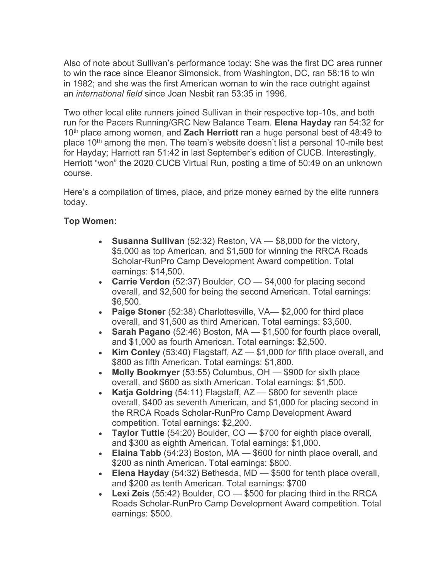Also of note about Sullivan's performance today: She was the first DC area runner to win the race since Eleanor Simonsick, from Washington, DC, ran 58:16 to win in 1982; and she was the first American woman to win the race outright against an *international field* since Joan Nesbit ran 53:35 in 1996.

Two other local elite runners joined Sullivan in their respective top-10s, and both run for the Pacers Running/GRC New Balance Team. **Elena Hayday** ran 54:32 for 10<sup>th</sup> place among women, and **Zach Herriott** ran a huge personal best of 48:49 to place  $10<sup>th</sup>$  among the men. The team's website doesn't list a personal 10-mile best for Hayday; Harriott ran 51:42 in last September's edition of CUCB. Interestingly, Herriott "won" the 2020 CUCB Virtual Run, posting a time of 50:49 on an unknown course.

Here's a compilation of times, place, and prize money earned by the elite runners today.

### **Top Women:**

- **Susanna Sullivan** (52:32) Reston, VA \$8,000 for the victory, \$5,000 as top American, and \$1,500 for winning the RRCA Roads Scholar-RunPro Camp Development Award competition. Total earnings: \$14,500.
- **Carrie Verdon** (52:37) Boulder, CO \$4,000 for placing second overall, and \$2,500 for being the second American. Total earnings: \$6,500.
- **Paige Stoner** (52:38) Charlottesville, VA— \$2,000 for third place overall, and \$1,500 as third American. Total earnings: \$3,500.
- **Sarah Pagano** (52:46) Boston, MA \$1,500 for fourth place overall, and \$1,000 as fourth American. Total earnings: \$2,500.
- **Kim Conley** (53:40) Flagstaff, AZ \$1,000 for fifth place overall, and \$800 as fifth American. Total earnings: \$1,800.
- **Molly Bookmyer** (53:55) Columbus, OH \$900 for sixth place overall, and \$600 as sixth American. Total earnings: \$1,500.
- **Katja Goldring** (54:11) Flagstaff, AZ \$800 for seventh place overall, \$400 as seventh American, and \$1,000 for placing second in the RRCA Roads Scholar-RunPro Camp Development Award competition. Total earnings: \$2,200.
- **Taylor Tuttle** (54:20) Boulder, CO \$700 for eighth place overall, and \$300 as eighth American. Total earnings: \$1,000.
- **Elaina Tabb** (54:23) Boston, MA \$600 for ninth place overall, and \$200 as ninth American. Total earnings: \$800.
- **Elena Hayday** (54:32) Bethesda, MD \$500 for tenth place overall, and \$200 as tenth American. Total earnings: \$700
- **Lexi Zeis** (55:42) Boulder, CO \$500 for placing third in the RRCA Roads Scholar-RunPro Camp Development Award competition. Total earnings: \$500.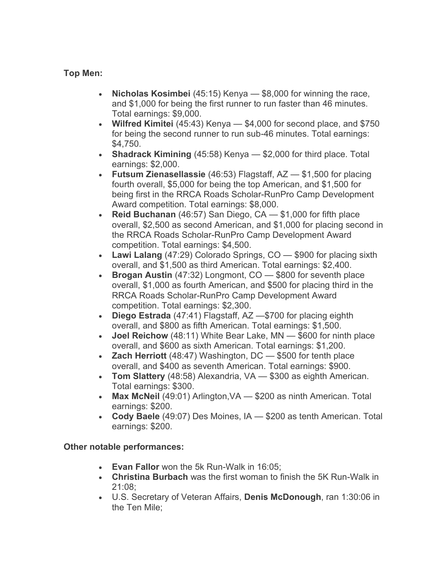### **Top Men:**

- **Nicholas Kosimbei** (45:15) Kenya \$8,000 for winning the race, and \$1,000 for being the first runner to run faster than 46 minutes. Total earnings: \$9,000.
- **Wilfred Kimitei** (45:43) Kenya \$4,000 for second place, and \$750 for being the second runner to run sub-46 minutes. Total earnings: \$4,750.
- **Shadrack Kimining** (45:58) Kenya \$2,000 for third place. Total earnings: \$2,000.
- **Futsum Zienasellassie** (46:53) Flagstaff, AZ \$1,500 for placing fourth overall, \$5,000 for being the top American, and \$1,500 for being first in the RRCA Roads Scholar-RunPro Camp Development Award competition. Total earnings: \$8,000.
- **Reid Buchanan** (46:57) San Diego, CA \$1,000 for fifth place overall, \$2,500 as second American, and \$1,000 for placing second in the RRCA Roads Scholar-RunPro Camp Development Award competition. Total earnings: \$4,500.
- **Lawi Lalang** (47:29) Colorado Springs, CO \$900 for placing sixth overall, and \$1,500 as third American. Total earnings: \$2,400.
- **Brogan Austin** (47:32) Longmont, CO \$800 for seventh place overall, \$1,000 as fourth American, and \$500 for placing third in the RRCA Roads Scholar-RunPro Camp Development Award competition. Total earnings: \$2,300.
- **Diego Estrada** (47:41) Flagstaff, AZ —\$700 for placing eighth overall, and \$800 as fifth American. Total earnings: \$1,500.
- **Joel Reichow** (48:11) White Bear Lake, MN \$600 for ninth place overall, and \$600 as sixth American. Total earnings: \$1,200.
- **Zach Herriott** (48:47) Washington, DC \$500 for tenth place overall, and \$400 as seventh American. Total earnings: \$900.
- **Tom Slattery** (48:58) Alexandria, VA \$300 as eighth American. Total earnings: \$300.
- **Max McNeil** (49:01) Arlington,VA \$200 as ninth American. Total earnings: \$200.
- **Cody Baele** (49:07) Des Moines, IA \$200 as tenth American. Total earnings: \$200.

### **Other notable performances:**

- **Evan Fallor** won the 5k Run-Walk in 16:05;
- **Christina Burbach** was the first woman to finish the 5K Run-Walk in 21:08;
- U.S. Secretary of Veteran Affairs, **Denis McDonough**, ran 1:30:06 in the Ten Mile;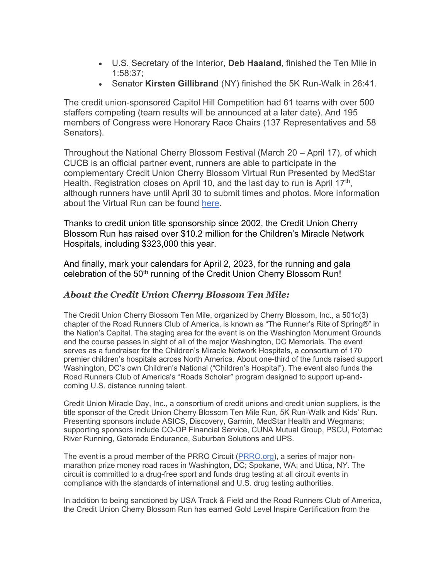- U.S. Secretary of the Interior, **Deb Haaland**, finished the Ten Mile in 1:58:37;
- Senator **Kirsten Gillibrand** (NY) finished the 5K Run-Walk in 26:41.

The credit union-sponsored Capitol Hill Competition had 61 teams with over 500 staffers competing (team results will be announced at a later date). And 195 members of Congress were Honorary Race Chairs (137 Representatives and 58 Senators).

Throughout the National Cherry Blossom Festival (March 20 – April 17), of which CUCB is an official partner event, runners are able to participate in the complementary Credit Union Cherry Blossom Virtual Run Presented by MedStar Health. Registration closes on April 10, and the last day to run is April 17<sup>th</sup>, although runners have until April 30 to submit times and photos. More information about the Virtual Run can be found [here.](https://www.cherryblossom.org/pre-race/events/580-2/)

Thanks to credit union title sponsorship since 2002, the Credit Union Cherry Blossom Run has raised over \$10.2 million for the Children's Miracle Network Hospitals, including \$323,000 this year.

And finally, mark your calendars for April 2, 2023, for the running and gala celebration of the 50<sup>th</sup> running of the Credit Union Cherry Blossom Run!

#### *About the Credit Union Cherry Blossom Ten Mile:*

The Credit Union Cherry Blossom Ten Mile, organized by Cherry Blossom, Inc., a 501c(3) chapter of the Road Runners Club of America, is known as "The Runner's Rite of Spring®" in the Nation's Capital. The staging area for the event is on the Washington Monument Grounds and the course passes in sight of all of the major Washington, DC Memorials. The event serves as a fundraiser for the Children's Miracle Network Hospitals, a consortium of 170 premier children's hospitals across North America. About one-third of the funds raised support Washington, DC's own Children's National ("Children's Hospital"). The event also funds the Road Runners Club of America's "Roads Scholar" program designed to support up-andcoming U.S. distance running talent.

Credit Union Miracle Day, Inc., a consortium of credit unions and credit union suppliers, is the title sponsor of the Credit Union Cherry Blossom Ten Mile Run, 5K Run-Walk and Kids' Run. Presenting sponsors include ASICS, Discovery, Garmin, MedStar Health and Wegmans; supporting sponsors include CO-OP Financial Service, CUNA Mutual Group, PSCU, Potomac River Running, Gatorade Endurance, Suburban Solutions and UPS.

The event is a proud member of the PRRO Circuit [\(PRRO.org\)](http://www.prro.org/), a series of major nonmarathon prize money road races in Washington, DC; Spokane, WA; and Utica, NY. The circuit is committed to a drug-free sport and funds drug testing at all circuit events in compliance with the standards of international and U.S. drug testing authorities.

In addition to being sanctioned by USA Track & Field and the Road Runners Club of America, the Credit Union Cherry Blossom Run has earned Gold Level Inspire Certification from the